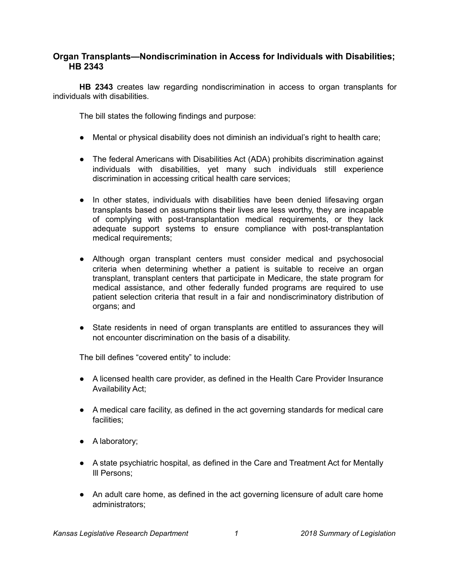## **Organ Transplants—Nondiscrimination in Access for Individuals with Disabilities; HB 2343**

**HB 2343** creates law regarding nondiscrimination in access to organ transplants for individuals with disabilities.

The bill states the following findings and purpose:

- Mental or physical disability does not diminish an individual's right to health care;
- The federal Americans with Disabilities Act (ADA) prohibits discrimination against individuals with disabilities, yet many such individuals still experience discrimination in accessing critical health care services;
- In other states, individuals with disabilities have been denied lifesaving organ transplants based on assumptions their lives are less worthy, they are incapable of complying with post-transplantation medical requirements, or they lack adequate support systems to ensure compliance with post-transplantation medical requirements;
- Although organ transplant centers must consider medical and psychosocial criteria when determining whether a patient is suitable to receive an organ transplant, transplant centers that participate in Medicare, the state program for medical assistance, and other federally funded programs are required to use patient selection criteria that result in a fair and nondiscriminatory distribution of organs; and
- State residents in need of organ transplants are entitled to assurances they will not encounter discrimination on the basis of a disability.

The bill defines "covered entity" to include:

- A licensed health care provider, as defined in the Health Care Provider Insurance Availability Act;
- A medical care facility, as defined in the act governing standards for medical care facilities;
- A laboratory;
- A state psychiatric hospital, as defined in the Care and Treatment Act for Mentally Ill Persons;
- An adult care home, as defined in the act governing licensure of adult care home administrators;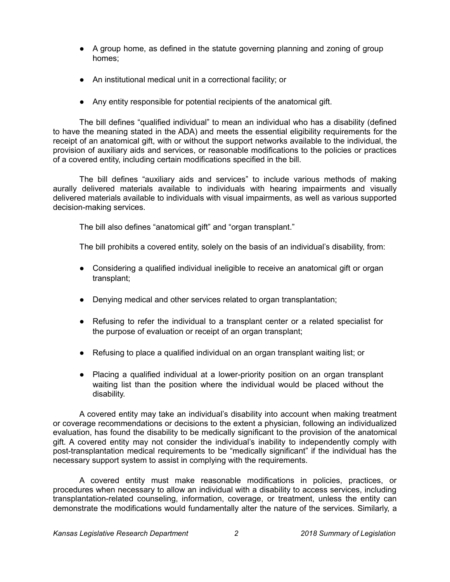- A group home, as defined in the statute governing planning and zoning of group homes;
- An institutional medical unit in a correctional facility; or
- Any entity responsible for potential recipients of the anatomical gift.

The bill defines "qualified individual" to mean an individual who has a disability (defined to have the meaning stated in the ADA) and meets the essential eligibility requirements for the receipt of an anatomical gift, with or without the support networks available to the individual, the provision of auxiliary aids and services, or reasonable modifications to the policies or practices of a covered entity, including certain modifications specified in the bill.

The bill defines "auxiliary aids and services" to include various methods of making aurally delivered materials available to individuals with hearing impairments and visually delivered materials available to individuals with visual impairments, as well as various supported decision-making services.

The bill also defines "anatomical gift" and "organ transplant."

The bill prohibits a covered entity, solely on the basis of an individual's disability, from:

- Considering a qualified individual ineligible to receive an anatomical gift or organ transplant;
- Denying medical and other services related to organ transplantation;
- Refusing to refer the individual to a transplant center or a related specialist for the purpose of evaluation or receipt of an organ transplant;
- Refusing to place a qualified individual on an organ transplant waiting list; or
- Placing a qualified individual at a lower-priority position on an organ transplant waiting list than the position where the individual would be placed without the disability.

A covered entity may take an individual's disability into account when making treatment or coverage recommendations or decisions to the extent a physician, following an individualized evaluation, has found the disability to be medically significant to the provision of the anatomical gift. A covered entity may not consider the individual's inability to independently comply with post-transplantation medical requirements to be "medically significant" if the individual has the necessary support system to assist in complying with the requirements.

A covered entity must make reasonable modifications in policies, practices, or procedures when necessary to allow an individual with a disability to access services, including transplantation-related counseling, information, coverage, or treatment, unless the entity can demonstrate the modifications would fundamentally alter the nature of the services. Similarly, a